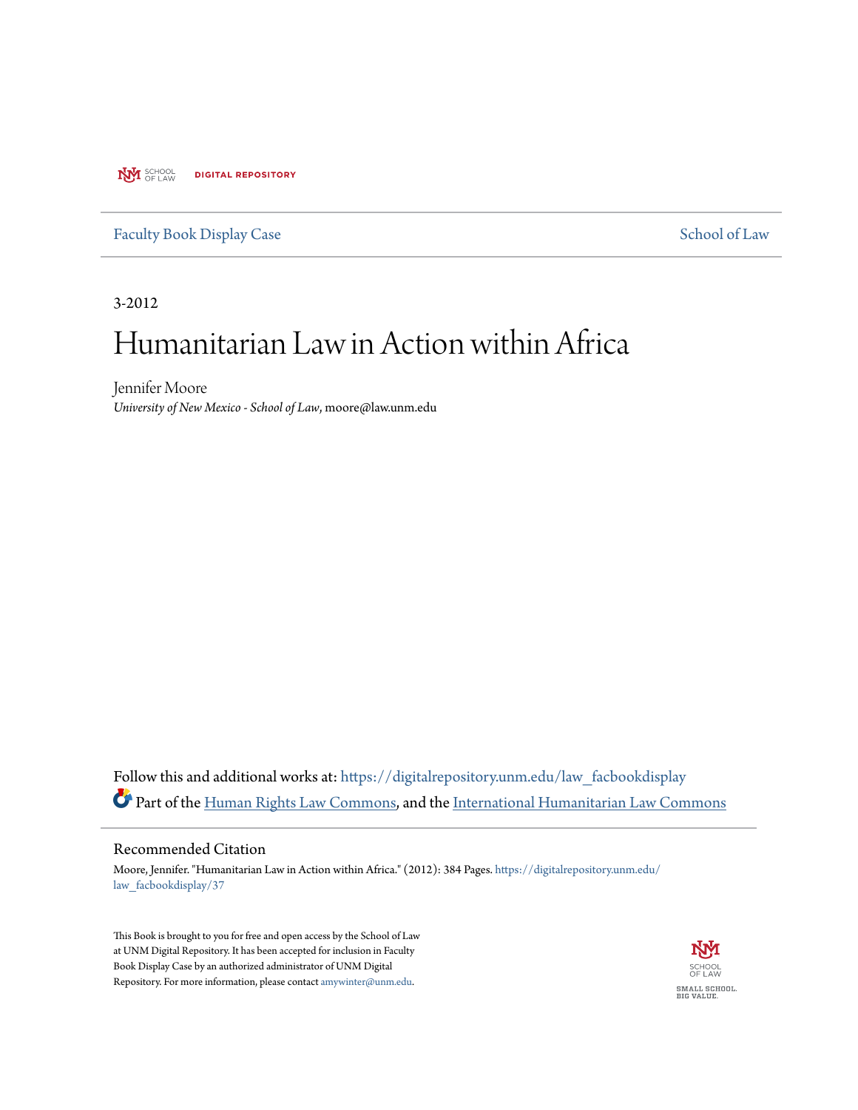**NVI** SCHOOL **DIGITAL REPOSITORY** 

[Faculty Book Display Case](https://digitalrepository.unm.edu/law_facbookdisplay?utm_source=digitalrepository.unm.edu%2Flaw_facbookdisplay%2F37&utm_medium=PDF&utm_campaign=PDFCoverPages) [School of Law](https://digitalrepository.unm.edu/law?utm_source=digitalrepository.unm.edu%2Flaw_facbookdisplay%2F37&utm_medium=PDF&utm_campaign=PDFCoverPages)

3-2012

# Humanitarian Law in Action within Africa

Jennifer Moore *University of New Mexico - School of Law*, moore@law.unm.edu

Follow this and additional works at: [https://digitalrepository.unm.edu/law\\_facbookdisplay](https://digitalrepository.unm.edu/law_facbookdisplay?utm_source=digitalrepository.unm.edu%2Flaw_facbookdisplay%2F37&utm_medium=PDF&utm_campaign=PDFCoverPages) Part of the [Human Rights Law Commons,](http://network.bepress.com/hgg/discipline/847?utm_source=digitalrepository.unm.edu%2Flaw_facbookdisplay%2F37&utm_medium=PDF&utm_campaign=PDFCoverPages) and the [International Humanitarian Law Commons](http://network.bepress.com/hgg/discipline/1330?utm_source=digitalrepository.unm.edu%2Flaw_facbookdisplay%2F37&utm_medium=PDF&utm_campaign=PDFCoverPages)

## Recommended Citation

Moore, Jennifer. "Humanitarian Law in Action within Africa." (2012): 384 Pages. [https://digitalrepository.unm.edu/](https://digitalrepository.unm.edu/law_facbookdisplay/37?utm_source=digitalrepository.unm.edu%2Flaw_facbookdisplay%2F37&utm_medium=PDF&utm_campaign=PDFCoverPages) [law\\_facbookdisplay/37](https://digitalrepository.unm.edu/law_facbookdisplay/37?utm_source=digitalrepository.unm.edu%2Flaw_facbookdisplay%2F37&utm_medium=PDF&utm_campaign=PDFCoverPages)

This Book is brought to you for free and open access by the School of Law at UNM Digital Repository. It has been accepted for inclusion in Faculty Book Display Case by an authorized administrator of UNM Digital Repository. For more information, please contact [amywinter@unm.edu](mailto:amywinter@unm.edu).

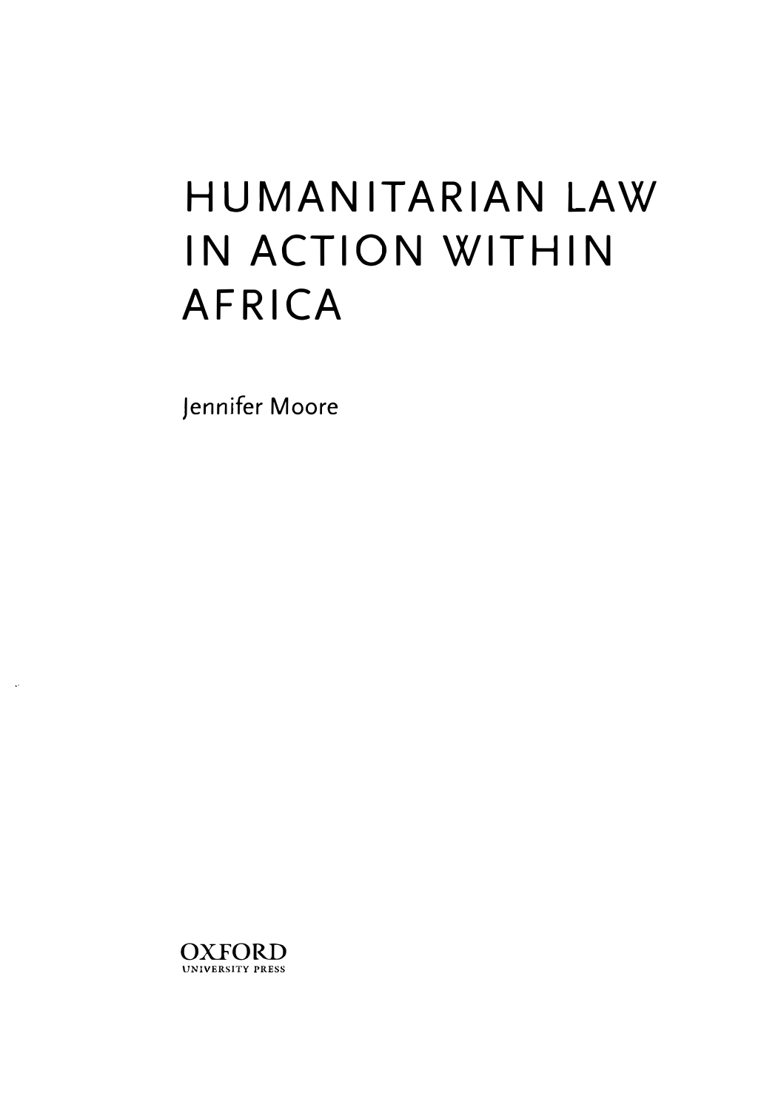# **HUMANITARIAN LAW IN ACTION WITHIN AFRICA**

Jennifer Moore



j.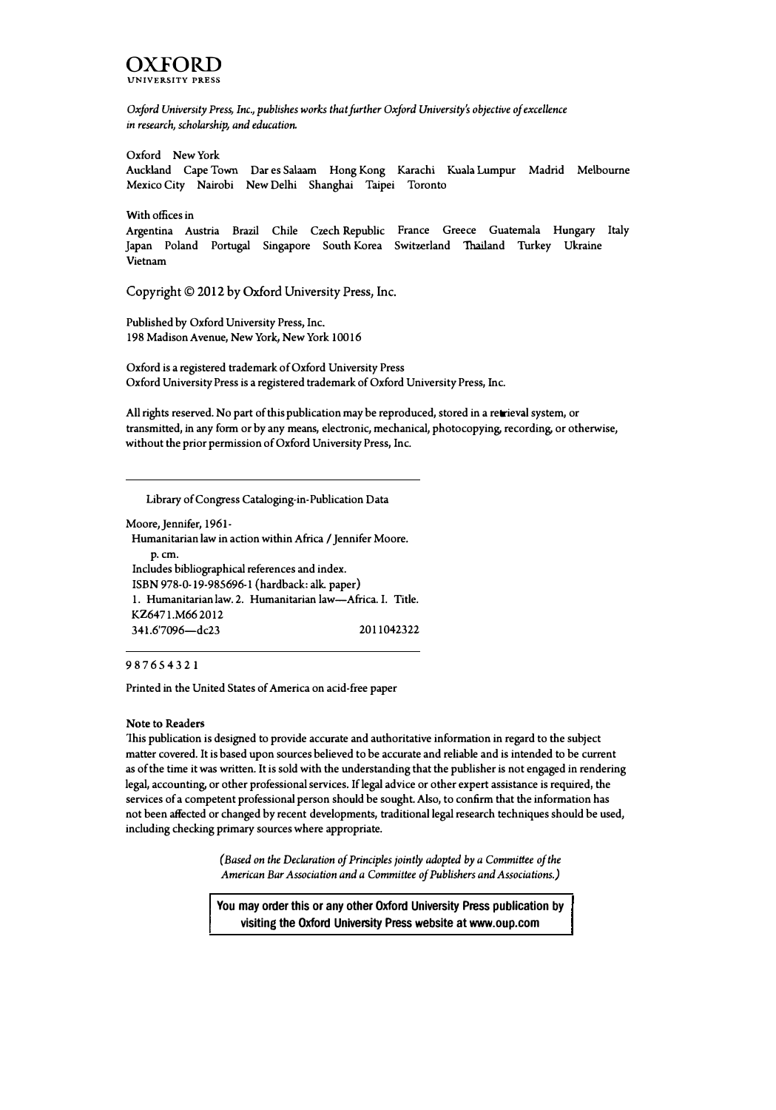

*Oxford University Press, Inc., publishes works that further Oxford University's objective of excellence*  in *research, scholarship, and education.* 

Oxford New York

Auckland Cape Town Dar es Salaam Hong Kong Karachi Kuala Lumpur Madrid Melbourne Mexico City Nairobi New Delhi Shanghai Taipei Toronto

With offices in

Argentina Austria Brazil Chile Czech Republic France Greece Guatemala Hungary Italy Japan Poland Portugal Singapore South Korea Switzerland "Thailand Turkey Ukraine Vietnam

**Copyright© 2012 by Oxford University Press, Inc.** 

Published by Oxford University Press, Inc. 198 Madison Avenue, New York, New York 10016

Oxford is a registered trademark of Oxford University Press Oxford University Press is a registered trademark of Oxford University Press, Inc.

All rights reserved. No part of this publication may be reproduced, stored in a retrieval system, or transmitted, in any form or by any means, electronic, mechanical, photocopying, recording, or otherwise, without the prior permission of Oxford University Press, Inc.

Library of Congress Cataloging-in-Publication Data

Moore, Jennifer, 1961- Humanitarian law in action within Africa / Jennifer Moore. p.cm. Includes bibliographical references and index. ISBN 978-0-19-985696-l (hardback: alk. paper) 1. Humanitarian law. 2. Humanitarian law-Africa. I. Title. KZ6471.M66 2012 34 l.6'7096-dc23 2011042322

987 654321

Printed in the United States of America on acid-free paper

#### Note to Readers

1his publication is designed to provide accurate and authoritative information in regard to the subject matter covered. It is based upon sources believed to be accurate and reliable and is intended to be current as of the time it was written. It is sold with the understanding that the publisher is not engaged in rendering legal, accounting, or other professional services. If legal advice or other expert assistance is required, the services of a competent professional person should be sought. Also, to confirm that the information has not been affected or changed by recent developments, traditional legal research techniques should be used, including checking primary sources where appropriate.

> *( Based on the Declaration of Principles jointly adopted by a Committee of the American Bar Association and a Committee of Publishers and Associations.)*

**You may order this or any other Oxford University Press publication by visiting the Oxford University Press website at www.oup.com**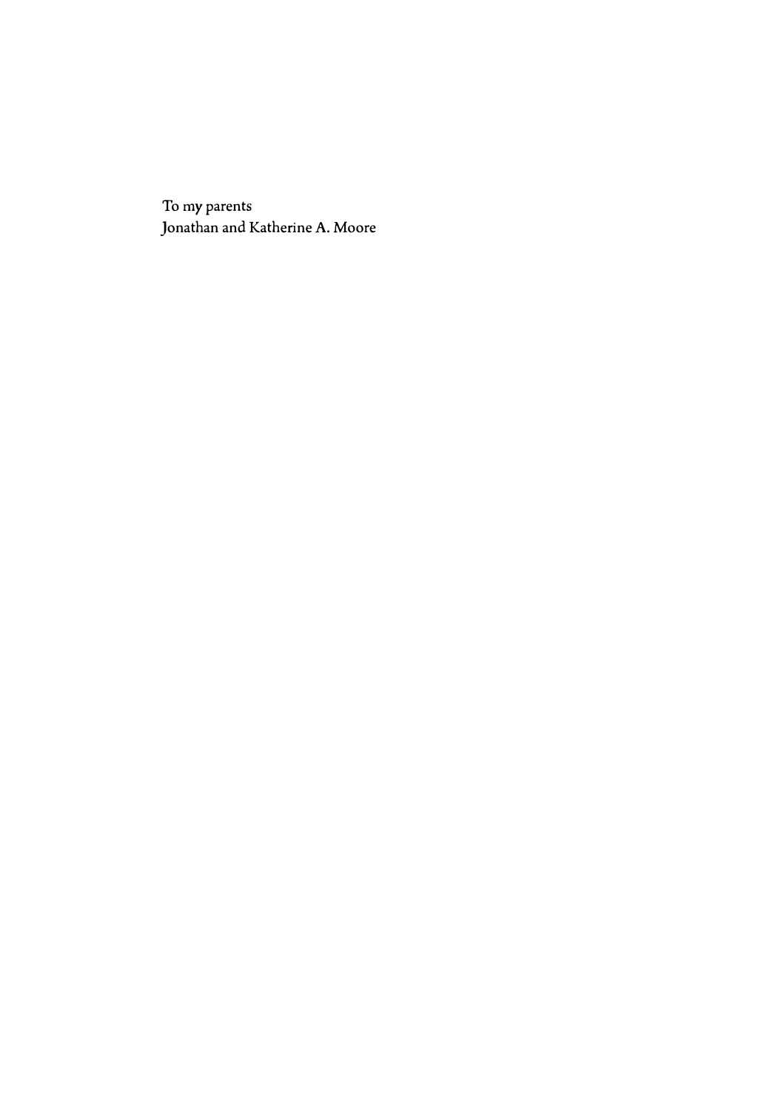To my parents Jonathan and Katherine A. Moore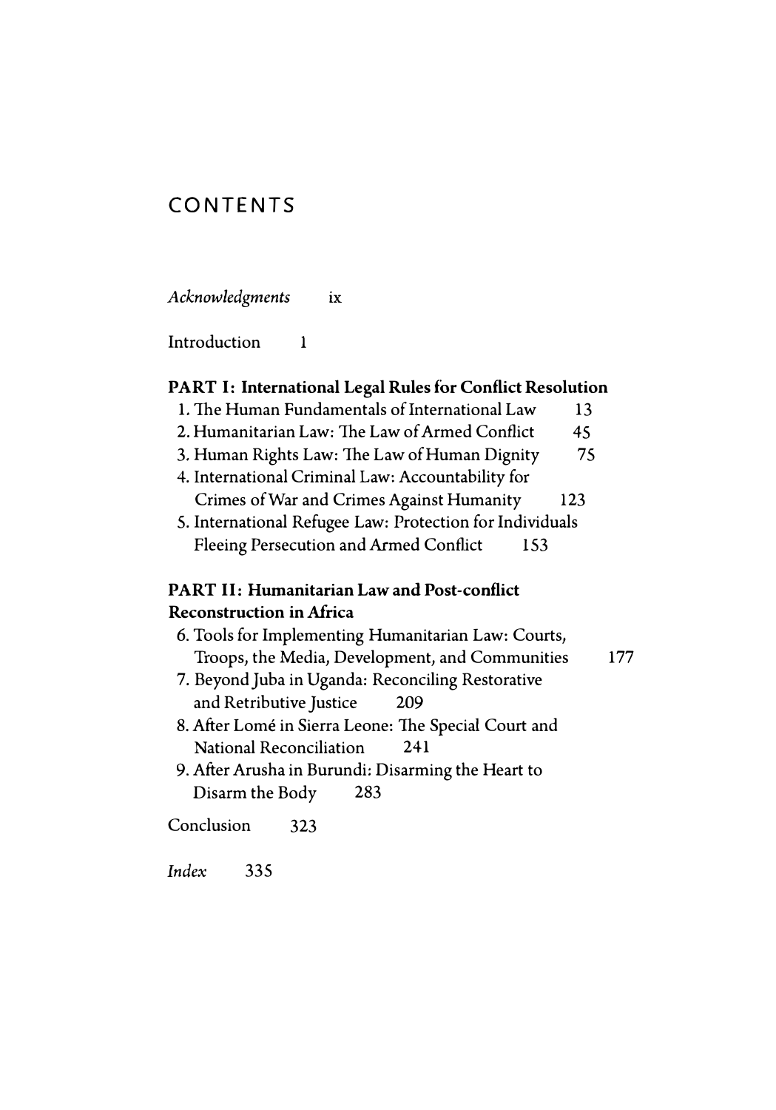# **CONTENTS**

*Acknowledgments ix* 

Introduction 1

## **PART I: International Legal Rules for Conflict Resolution**

- 1. The Human Fundamentals of International Law 13 2. Humanitarian Law: The Law of Armed Conflict 45 3. Human Rights Law: The Law of Human Dignity 75
- 4. International Criminal Law: Accountability for Crimes of War and Crimes Against Humanity 123
- 5. International Refugee Law: Protection for Individuals Fleeing Persecution and Armed Conflict 153

# **PART II: Humanitarian Law and Post-conflict Reconstruction in Africa**

- 6. Tools for Implementing Humanitarian Law: Courts, Troops, the Media, Development, and Communities 177
- 7. Beyond Juba in Uganda: Reconciling Restorative and Retributive Justice 209
- 8. After Lome in Sierra Leone: The Special Court and National Reconciliation 241
- 9. After Arusha in Burundi: Disarming the Heart to Disarm the Body 283

Conclusion 323

*Index* 335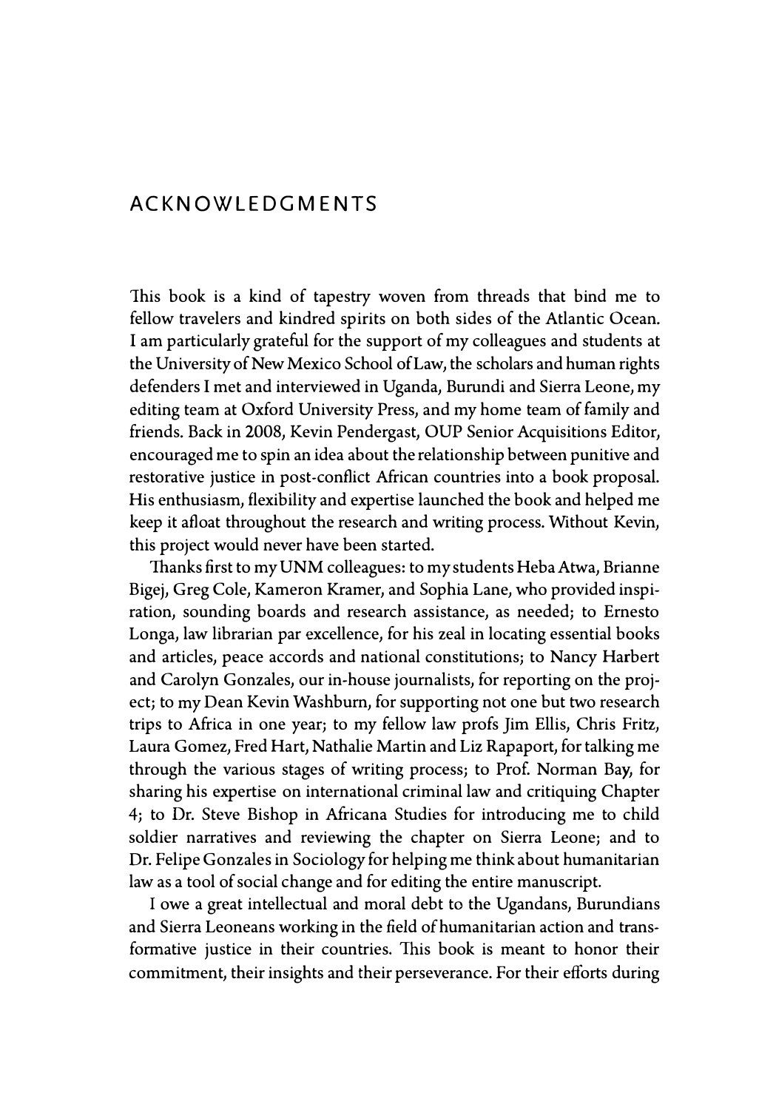# **ACKNOWLEDGMENTS**

This book is a kind of tapestry woven from threads that bind me to fellow travelers and kindred spirits on both sides of the Atlantic Ocean. I am particularly grateful for the support of my colleagues and students at the University of New Mexico School of Law, the scholars and human rights defenders I met and interviewed in Uganda, Burundi and Sierra Leone, my editing team at Oxford University Press, and my home team of family and friends. Back in 2008, Kevin Pendergast, OUP Senior Acquisitions Editor, encouraged me to spin an idea about the relationship between punitive and restorative justice in post-conflict African countries into a book proposal. His enthusiasm, flexibility and expertise launched the book and helped me keep it afloat throughout the research and writing process. Without Kevin, this project would never have been started.

Thanks first to my UNM colleagues: to my students Heba Atwa, Brianne Bigej, Greg Cole, Kameron Kramer, and Sophia Lane, who provided inspiration, sounding boards and research assistance, as needed; to Ernesto Longa, law librarian par excellence, for his zeal in locating essential books and articles, peace accords and national constitutions; to Nancy Harbert and Carolyn Gonzales, our in-house journalists, for reporting on the project; to my Dean Kevin Washburn, for supporting not one but two research trips to Africa in one year; to my fellow law profs Jim Ellis, Chris Fritz, Laura Gomez, Fred Hart, Nathalie Martin and Liz Rapaport, for talking me through the various stages of writing process; to Prof. Norman Bay, for sharing his expertise on international criminal law and critiquing Chapter 4; to Dr. Steve Bishop in Africana Studies for introducing me to child soldier narratives and reviewing the chapter on Sierra Leone; and to Dr. Felipe Gonzales in Sociology for helping me think about humanitarian law as a tool of social change and for editing the entire manuscript.

I owe a great intellectual and moral debt to the Ugandans, Burundians and Sierra Leoneans working in the field of humanitarian action and transformative justice in their countries. This book is meant to honor their commitment, their insights and their perseverance. For their efforts during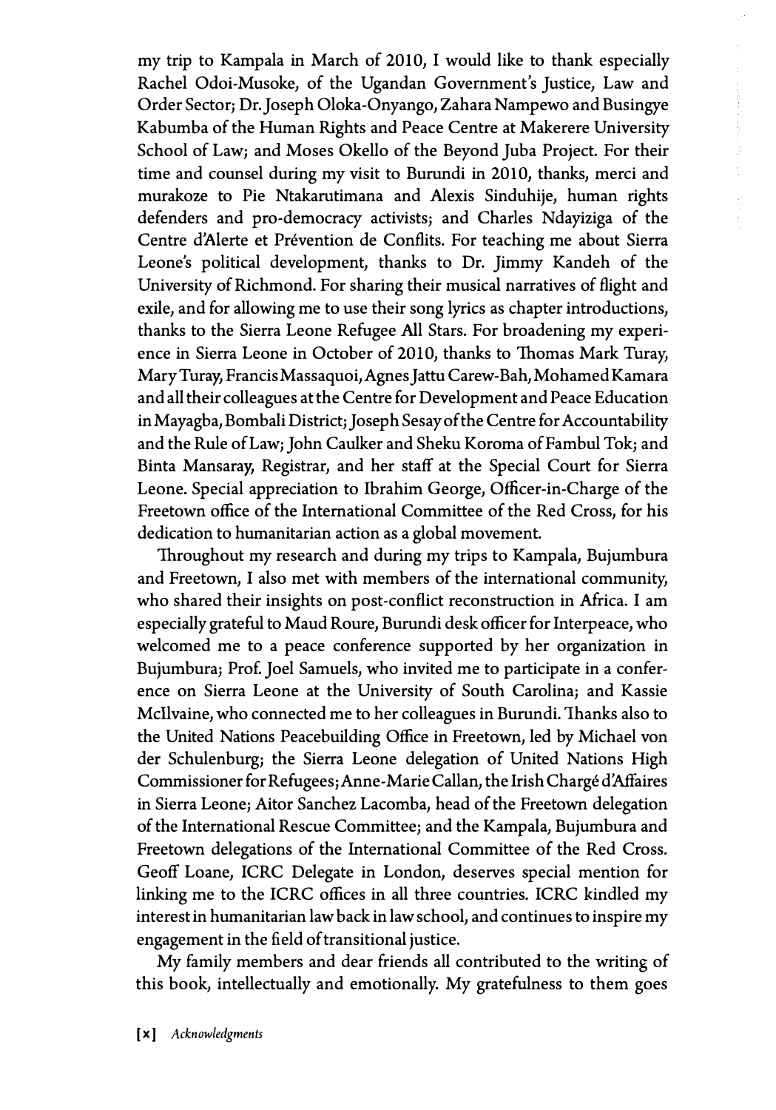my trip to Kampala in March of 2010, I would like to thank especially Rachel Odoi-Musoke, of the Ugandan Government's Justice, Law and Order Sectorj Dr. Joseph Oloka-Onyango, Zahara Nampewo and Busingye Kabumba of the Human Rights and Peace Centre at Makerere University School of Lawj and Moses Okello of the Beyond Juba Project. For their time and counsel during my visit to Burundi in 2010, thanks, merci and murakoze to Pie Ntakarutimana and Alexis Sinduhije, human rights defenders and pro-democracy activists; and Charles Ndayiziga of the Centre d'Alerte et Prévention de Conflits. For teaching me about Sierra Leone's political development, thanks to Dr. Jimmy Kandeh of the University of Richmond. For sharing their musical narratives of flight and exile, and for allowing me to use their song lyrics as chapter introductions, thanks to the Sierra Leone Refugee All Stars. For broadening my experience in Sierra Leone in October of 2010, thanks to Thomas Mark Turay, Mary Turay, Francis Massaquoi, Agnes Jattu Carew-Bah, Mohamed Kamara and all their colleagues at the Centre for Development and Peace Education in Mayagba, Bombali District; Joseph Sesay of the Centre for Accountability and the Rule of Law; John Caulker and Sheku Koroma of Fambul Tok; and Binta Mansaray, Registrar, and her staff at the Special Court for Sierra Leone. Special appreciation to Ibrahim George, Officer-in-Charge of the Freetown office of the International Committee of the Red Cross, for his dedication to humanitarian action as a global movement.

Throughout my research and during my trips to Kampala, Bujumbura and Freetown, I also met with members of the international community, who shared their insights on post-conflict reconstruction in Africa. I am especially grateful to Maud Roure, Burundi desk officer for Interpeace, who welcomed me to a peace conference supported by her organization in Bujumburaj Prof. Joel Samuels, who invited me to participate in a conference on Sierra Leone at the University of South Carolinaj and Kassie Mcllvaine, who connected me to her colleagues in Burundi. Thanks also to the United Nations Peacebuilding Office in Freetown, led by Michael von der Schulenburg; the Sierra Leone delegation of United Nations High Commissioner for Refugees; Anne-Marie Callan, the Irish Chargé d'Affaires in Sierra Leonej Aitor Sanchez Lacomba, head of the Freetown delegation of the International Rescue Committeej and the Kampala, Bujumbura and Freetown delegations of the International Committee of the Red Cross. Geoff Loane, ICRC Delegate in London, deserves special mention for linking me to the ICRC offices in all three countries. ICRC kindled my interest in humanitarian law back in law school, and continues to inspire my engagement in the field of transitional justice.

My family members and dear friends all contributed to the writing of this book, intellectually and emotionally. My gratefulness to them goes